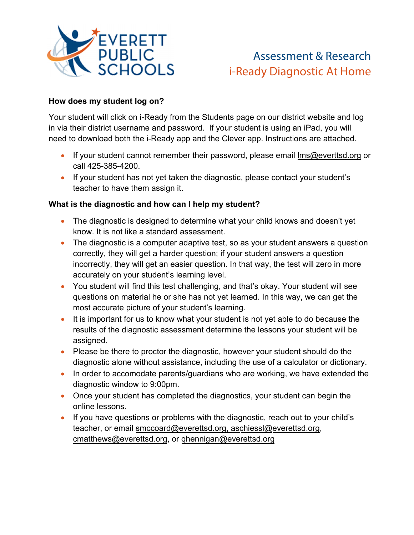

# Assessment & Research i-Ready Diagnostic At Home

## **How does my student log on?**

Your student will click on i-Ready from the Students page on our district website and log in via their district username and password. If your student is using an iPad, you will need to download both the i-Ready app and the Clever app. Instructions are attached.

- If your student cannot remember their password, please email  $\text{Im}Q$  everttsd org or call 425-385-4200.
- If your student has not yet taken the diagnostic, please contact your student's teacher to have them assign it.

### **What is the diagnostic and how can I help my student?**

- The diagnostic is designed to determine what your child knows and doesn't yet know. It is not like a standard assessment.
- The diagnostic is a computer adaptive test, so as your student answers a question correctly, they will get a harder question; if your student answers a question incorrectly, they will get an easier question. In that way, the test will zero in more accurately on your student's learning level.
- You student will find this test challenging, and that's okay. Your student will see questions on material he or she has not yet learned. In this way, we can get the most accurate picture of your student's learning.
- It is important for us to know what your student is not yet able to do because the results of the diagnostic assessment determine the lessons your student will be assigned.
- Please be there to proctor the diagnostic, however your student should do the diagnostic alone without assistance, including the use of a calculator or dictionary.
- In order to accomodate parents/guardians who are working, we have extended the diagnostic window to 9:00pm.
- Once your student has completed the diagnostics, your student can begin the online lessons.
- If you have questions or problems with the diagnostic, reach out to your child's teacher, or email smccoard@everettsd.org, aschiessl@everettsd.org, cmatthews@everettsd.org, or qhennigan@everettsd.org